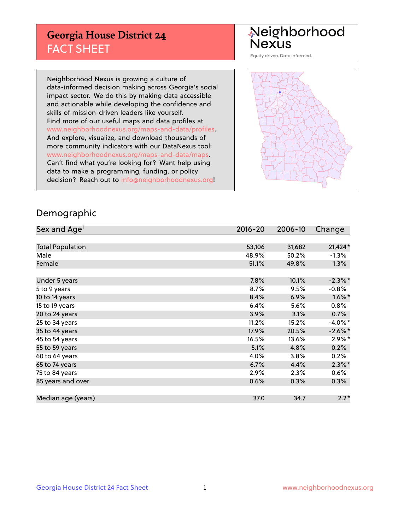## **Georgia House District 24** FACT SHEET

# Neighborhood<br>Nexus

Equity driven. Data informed.

Neighborhood Nexus is growing a culture of data-informed decision making across Georgia's social impact sector. We do this by making data accessible and actionable while developing the confidence and skills of mission-driven leaders like yourself. Find more of our useful maps and data profiles at www.neighborhoodnexus.org/maps-and-data/profiles. And explore, visualize, and download thousands of more community indicators with our DataNexus tool: www.neighborhoodnexus.org/maps-and-data/maps. Can't find what you're looking for? Want help using data to make a programming, funding, or policy decision? Reach out to [info@neighborhoodnexus.org!](mailto:info@neighborhoodnexus.org)



### Demographic

| Sex and Age <sup>1</sup> | 2016-20 | 2006-10 | Change     |
|--------------------------|---------|---------|------------|
|                          |         |         |            |
| <b>Total Population</b>  | 53,106  | 31,682  | $21,424*$  |
| Male                     | 48.9%   | 50.2%   | $-1.3\%$   |
| Female                   | 51.1%   | 49.8%   | 1.3%       |
|                          |         |         |            |
| Under 5 years            | 7.8%    | 10.1%   | $-2.3\%$ * |
| 5 to 9 years             | 8.7%    | 9.5%    | $-0.8%$    |
| 10 to 14 years           | 8.4%    | 6.9%    | $1.6\%$ *  |
| 15 to 19 years           | 6.4%    | 5.6%    | 0.8%       |
| 20 to 24 years           | 3.9%    | 3.1%    | 0.7%       |
| 25 to 34 years           | 11.2%   | 15.2%   | $-4.0\%$ * |
| 35 to 44 years           | 17.9%   | 20.5%   | $-2.6\%$ * |
| 45 to 54 years           | 16.5%   | 13.6%   | $2.9\%$ *  |
| 55 to 59 years           | 5.1%    | 4.8%    | 0.2%       |
| 60 to 64 years           | 4.0%    | 3.8%    | 0.2%       |
| 65 to 74 years           | 6.7%    | 4.4%    | $2.3\%$ *  |
| 75 to 84 years           | 2.9%    | 2.3%    | $0.6\%$    |
| 85 years and over        | 0.6%    | 0.3%    | 0.3%       |
|                          |         |         |            |
| Median age (years)       | 37.0    | 34.7    | $2.2*$     |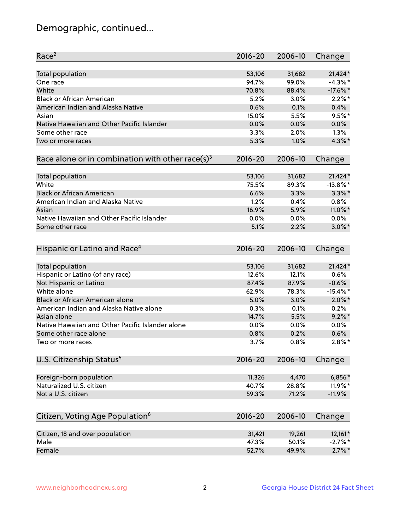## Demographic, continued...

| Race <sup>2</sup>                                               | $2016 - 20$ | 2006-10 | Change      |
|-----------------------------------------------------------------|-------------|---------|-------------|
| Total population                                                | 53,106      | 31,682  | $21,424*$   |
| One race                                                        | 94.7%       | 99.0%   | $-4.3\%$ *  |
| White                                                           | 70.8%       | 88.4%   | $-17.6\%$ * |
| <b>Black or African American</b>                                | 5.2%        | 3.0%    | $2.2\%$ *   |
| American Indian and Alaska Native                               | 0.6%        | 0.1%    | 0.4%        |
| Asian                                                           | 15.0%       | 5.5%    | $9.5%$ *    |
| Native Hawaiian and Other Pacific Islander                      | 0.0%        | 0.0%    | 0.0%        |
| Some other race                                                 | 3.3%        | 2.0%    | 1.3%        |
| Two or more races                                               | 5.3%        | 1.0%    | $4.3\%$ *   |
| Race alone or in combination with other race(s) <sup>3</sup>    | $2016 - 20$ | 2006-10 | Change      |
|                                                                 |             |         |             |
| Total population                                                | 53,106      | 31,682  | $21,424*$   |
| White                                                           | 75.5%       | 89.3%   | $-13.8\%$ * |
| <b>Black or African American</b>                                | 6.6%        | 3.3%    | $3.3\%$ *   |
| American Indian and Alaska Native                               | 1.2%        | 0.4%    | 0.8%        |
| Asian                                                           | 16.9%       | 5.9%    | 11.0%*      |
| Native Hawaiian and Other Pacific Islander                      | 0.0%        | 0.0%    | 0.0%        |
| Some other race                                                 | 5.1%        | 2.2%    | $3.0\%$ *   |
|                                                                 |             |         |             |
| Hispanic or Latino and Race <sup>4</sup>                        | $2016 - 20$ | 2006-10 | Change      |
| Total population                                                | 53,106      | 31,682  | $21,424*$   |
| Hispanic or Latino (of any race)                                | 12.6%       | 12.1%   | 0.6%        |
| Not Hispanic or Latino                                          | 87.4%       | 87.9%   | $-0.6%$     |
| White alone                                                     | 62.9%       | 78.3%   | $-15.4\%$ * |
| Black or African American alone                                 | 5.0%        | 3.0%    | $2.0\%$ *   |
| American Indian and Alaska Native alone                         |             |         | 0.2%        |
|                                                                 | 0.3%        | 0.1%    | $9.2\%$ *   |
| Asian alone<br>Native Hawaiian and Other Pacific Islander alone | 14.7%       | 5.5%    |             |
|                                                                 | 0.0%        | 0.0%    | 0.0%        |
| Some other race alone                                           | 0.8%        | 0.2%    | 0.6%        |
| Two or more races                                               | 3.7%        | 0.8%    | $2.8\%$ *   |
| U.S. Citizenship Status <sup>5</sup>                            | $2016 - 20$ | 2006-10 | Change      |
| Foreign-born population                                         | 11,326      | 4,470   | $6,856*$    |
| Naturalized U.S. citizen                                        | 40.7%       | 28.8%   | 11.9%*      |
| Not a U.S. citizen                                              | 59.3%       | 71.2%   | $-11.9%$    |
|                                                                 |             |         |             |
| Citizen, Voting Age Population <sup>6</sup>                     | $2016 - 20$ | 2006-10 | Change      |
| Citizen, 18 and over population                                 | 31,421      | 19,261  | $12,161*$   |
| Male                                                            | 47.3%       | 50.1%   | $-2.7%$ *   |
| Female                                                          | 52.7%       | 49.9%   | $2.7\%$ *   |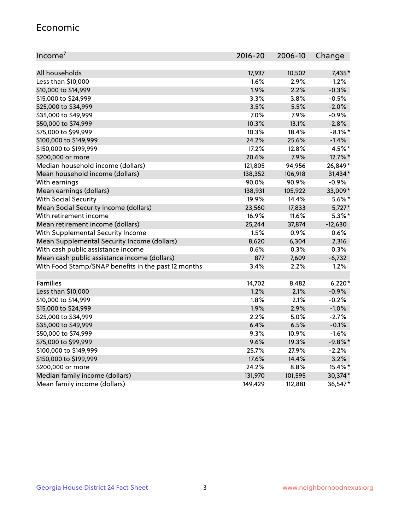#### Economic

| Income <sup>7</sup>                                 | $2016 - 20$ | 2006-10 | Change     |
|-----------------------------------------------------|-------------|---------|------------|
|                                                     |             |         |            |
| All households                                      | 17,937      | 10,502  | 7,435*     |
| Less than \$10,000                                  | 1.6%        | 2.9%    | $-1.2%$    |
| \$10,000 to \$14,999                                | 1.9%        | 2.2%    | $-0.3%$    |
| \$15,000 to \$24,999                                | 3.3%        | 3.8%    | $-0.5%$    |
| \$25,000 to \$34,999                                | 3.5%        | 5.5%    | $-2.0%$    |
| \$35,000 to \$49,999                                | 7.0%        | 7.9%    | $-0.9%$    |
| \$50,000 to \$74,999                                | 10.3%       | 13.1%   | $-2.8%$    |
| \$75,000 to \$99,999                                | 10.3%       | 18.4%   | $-8.1\%$ * |
| \$100,000 to \$149,999                              | 24.2%       | 25.6%   | $-1.4%$    |
| \$150,000 to \$199,999                              | 17.2%       | 12.8%   | 4.5%*      |
| \$200,000 or more                                   | 20.6%       | 7.9%    | 12.7%*     |
| Median household income (dollars)                   | 121,805     | 94,956  | 26,849*    |
| Mean household income (dollars)                     | 138,352     | 106,918 | 31,434*    |
| With earnings                                       | 90.0%       | 90.9%   | $-0.9%$    |
| Mean earnings (dollars)                             | 138,931     | 105,922 | 33,009*    |
| <b>With Social Security</b>                         | 19.9%       | 14.4%   | $5.6\%$ *  |
| Mean Social Security income (dollars)               | 23,560      | 17,833  | $5,727*$   |
| With retirement income                              | 16.9%       | 11.6%   | $5.3\%$ *  |
| Mean retirement income (dollars)                    | 25,244      | 37,874  | $-12,630$  |
| With Supplemental Security Income                   | 1.5%        | 0.9%    | 0.6%       |
| Mean Supplemental Security Income (dollars)         | 8,620       | 6,304   | 2,316      |
| With cash public assistance income                  | 0.6%        | 0.3%    | 0.3%       |
| Mean cash public assistance income (dollars)        | 877         | 7,609   | $-6,732$   |
| With Food Stamp/SNAP benefits in the past 12 months | 3.4%        | 2.2%    | 1.2%       |
|                                                     |             |         |            |
| Families                                            | 14,702      | 8,482   | $6,220*$   |
| Less than \$10,000                                  | 1.2%        | 2.1%    | $-0.9%$    |
| \$10,000 to \$14,999                                | 1.8%        | 2.1%    | $-0.2%$    |
| \$15,000 to \$24,999                                | 1.9%        | 2.9%    | $-1.0%$    |
| \$25,000 to \$34,999                                | 2.2%        | 5.0%    | $-2.7%$    |
| \$35,000 to \$49,999                                | 6.4%        | 6.5%    | $-0.1%$    |
| \$50,000 to \$74,999                                | 9.3%        | 10.9%   | $-1.6%$    |
| \$75,000 to \$99,999                                | 9.6%        | 19.3%   | $-9.8%$ *  |
| \$100,000 to \$149,999                              | 25.7%       | 27.9%   | $-2.2%$    |
| \$150,000 to \$199,999                              | 17.6%       | 14.4%   | 3.2%       |
| \$200,000 or more                                   | 24.2%       | 8.8%    | 15.4%*     |
| Median family income (dollars)                      | 131,970     | 101,595 | 30,374*    |
| Mean family income (dollars)                        | 149,429     | 112,881 | 36,547*    |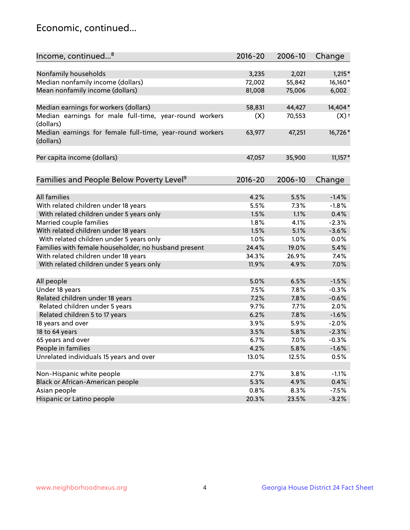## Economic, continued...

| Income, continued <sup>8</sup>                                        | 2016-20 | 2006-10 | Change             |
|-----------------------------------------------------------------------|---------|---------|--------------------|
|                                                                       |         |         |                    |
| Nonfamily households                                                  | 3,235   | 2,021   | $1,215*$           |
| Median nonfamily income (dollars)                                     | 72,002  | 55,842  | 16,160*            |
| Mean nonfamily income (dollars)                                       | 81,008  | 75,006  | 6,002              |
| Median earnings for workers (dollars)                                 | 58,831  | 44,427  | 14,404*            |
| Median earnings for male full-time, year-round workers                | (X)     | 70,553  | $(X)$ <sup>+</sup> |
| (dollars)                                                             |         |         |                    |
| Median earnings for female full-time, year-round workers<br>(dollars) | 63,977  | 47,251  | 16,726*            |
| Per capita income (dollars)                                           | 47,057  | 35,900  | $11,157*$          |
|                                                                       |         |         |                    |
| Families and People Below Poverty Level <sup>9</sup>                  | 2016-20 | 2006-10 | Change             |
|                                                                       |         |         |                    |
| <b>All families</b>                                                   | 4.2%    | 5.5%    | $-1.4%$            |
| With related children under 18 years                                  | 5.5%    | 7.3%    | $-1.8%$            |
| With related children under 5 years only                              | 1.5%    | 1.1%    | 0.4%               |
| Married couple families                                               | 1.8%    | 4.1%    | $-2.3%$            |
| With related children under 18 years                                  | 1.5%    | 5.1%    | $-3.6%$            |
| With related children under 5 years only                              | 1.0%    | 1.0%    | 0.0%               |
| Families with female householder, no husband present                  | 24.4%   | 19.0%   | 5.4%               |
| With related children under 18 years                                  | 34.3%   | 26.9%   | 7.4%               |
| With related children under 5 years only                              | 11.9%   | 4.9%    | 7.0%               |
| All people                                                            | 5.0%    | 6.5%    | $-1.5%$            |
| Under 18 years                                                        | 7.5%    | 7.8%    | $-0.3%$            |
| Related children under 18 years                                       | 7.2%    | 7.8%    | $-0.6%$            |
| Related children under 5 years                                        | 9.7%    | 7.7%    | 2.0%               |
| Related children 5 to 17 years                                        | 6.2%    | 7.8%    | $-1.6%$            |
| 18 years and over                                                     | 3.9%    | 5.9%    | $-2.0%$            |
| 18 to 64 years                                                        | 3.5%    | 5.8%    | $-2.3%$            |
| 65 years and over                                                     | 6.7%    | 7.0%    | $-0.3%$            |
| People in families                                                    | 4.2%    | 5.8%    | $-1.6%$            |
| Unrelated individuals 15 years and over                               | 13.0%   | 12.5%   | 0.5%               |
|                                                                       |         |         |                    |
| Non-Hispanic white people                                             | 2.7%    | 3.8%    | $-1.1%$            |
| Black or African-American people                                      | 5.3%    | 4.9%    | 0.4%               |
| Asian people                                                          | 0.8%    | 8.3%    | $-7.5%$            |
| Hispanic or Latino people                                             | 20.3%   | 23.5%   | $-3.2%$            |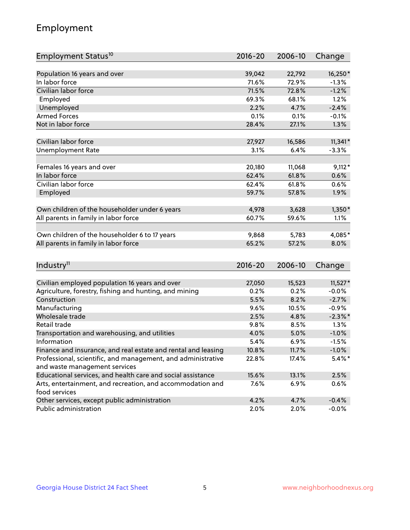## Employment

| Employment Status <sup>10</sup>                                             | $2016 - 20$ | 2006-10 | Change     |
|-----------------------------------------------------------------------------|-------------|---------|------------|
|                                                                             |             |         |            |
| Population 16 years and over                                                | 39,042      | 22,792  | 16,250*    |
| In labor force                                                              | 71.6%       | 72.9%   | $-1.3%$    |
| Civilian labor force                                                        | 71.5%       | 72.8%   | $-1.2%$    |
| Employed                                                                    | 69.3%       | 68.1%   | 1.2%       |
| Unemployed                                                                  | 2.2%        | 4.7%    | $-2.4%$    |
| <b>Armed Forces</b>                                                         | 0.1%        | 0.1%    | $-0.1%$    |
| Not in labor force                                                          | 28.4%       | 27.1%   | 1.3%       |
|                                                                             |             |         |            |
| Civilian labor force                                                        | 27,927      | 16,586  | $11,341*$  |
| <b>Unemployment Rate</b>                                                    | 3.1%        | 6.4%    | $-3.3%$    |
| Females 16 years and over                                                   | 20,180      | 11,068  | $9,112*$   |
| In labor force                                                              | 62.4%       | 61.8%   | 0.6%       |
| Civilian labor force                                                        | 62.4%       | 61.8%   | 0.6%       |
| Employed                                                                    | 59.7%       | 57.8%   | 1.9%       |
|                                                                             |             |         |            |
| Own children of the householder under 6 years                               | 4,978       | 3,628   | $1,350*$   |
| All parents in family in labor force                                        | 60.7%       | 59.6%   | 1.1%       |
|                                                                             |             |         |            |
| Own children of the householder 6 to 17 years                               | 9,868       | 5,783   | 4,085*     |
| All parents in family in labor force                                        | 65.2%       | 57.2%   | 8.0%       |
|                                                                             |             |         |            |
| Industry <sup>11</sup>                                                      | $2016 - 20$ | 2006-10 | Change     |
|                                                                             |             |         |            |
| Civilian employed population 16 years and over                              | 27,050      | 15,523  | $11,527*$  |
| Agriculture, forestry, fishing and hunting, and mining                      | 0.2%        | 0.2%    | $-0.0%$    |
| Construction                                                                | 5.5%        | 8.2%    | $-2.7%$    |
| Manufacturing                                                               | 9.6%        | 10.5%   | $-0.9%$    |
| Wholesale trade                                                             | 2.5%        | 4.8%    | $-2.3\%$ * |
| Retail trade                                                                | 9.8%        | 8.5%    | 1.3%       |
| Transportation and warehousing, and utilities                               | 4.0%        | 5.0%    | $-1.0%$    |
| Information                                                                 | 5.4%        | 6.9%    | $-1.5%$    |
| Finance and insurance, and real estate and rental and leasing               | 10.8%       | 11.7%   | $-1.0\%$   |
| Professional, scientific, and management, and administrative                | 22.8%       | 17.4%   | $5.4\%$ *  |
| and waste management services                                               |             |         |            |
| Educational services, and health care and social assistance                 | 15.6%       | 13.1%   | 2.5%       |
| Arts, entertainment, and recreation, and accommodation and<br>food services | $7.6\%$     | 6.9%    | 0.6%       |
| Other services, except public administration                                | 4.2%        | 4.7%    | $-0.4%$    |
| Public administration                                                       | 2.0%        | 2.0%    | $-0.0%$    |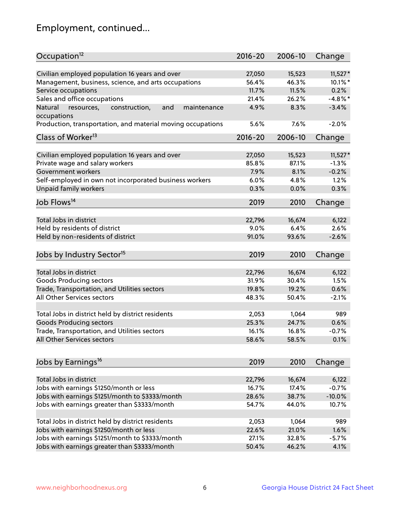## Employment, continued...

| Occupation <sup>12</sup>                                                    | $2016 - 20$     | 2006-10         | Change           |
|-----------------------------------------------------------------------------|-----------------|-----------------|------------------|
| Civilian employed population 16 years and over                              | 27,050          | 15,523          | $11,527*$        |
| Management, business, science, and arts occupations                         | 56.4%           | 46.3%           | $10.1\%$ *       |
| Service occupations                                                         | 11.7%           | 11.5%           | 0.2%             |
| Sales and office occupations                                                | 21.4%           | 26.2%           | $-4.8\%$ *       |
|                                                                             |                 |                 | $-3.4%$          |
| Natural<br>and<br>resources,<br>construction,<br>maintenance<br>occupations | 4.9%            | 8.3%            |                  |
| Production, transportation, and material moving occupations                 | 5.6%            | 7.6%            | $-2.0%$          |
| Class of Worker <sup>13</sup>                                               | $2016 - 20$     | 2006-10         | Change           |
|                                                                             |                 |                 |                  |
| Civilian employed population 16 years and over                              | 27,050          | 15,523          | $11,527*$        |
| Private wage and salary workers                                             | 85.8%           | 87.1%           | $-1.3%$          |
| Government workers                                                          | 7.9%            | 8.1%            | $-0.2%$          |
| Self-employed in own not incorporated business workers                      | 6.0%            | 4.8%            | 1.2%             |
| Unpaid family workers                                                       | 0.3%            | 0.0%            | 0.3%             |
| Job Flows <sup>14</sup>                                                     | 2019            | 2010            | Change           |
|                                                                             |                 |                 |                  |
| Total Jobs in district                                                      | 22,796          | 16,674          | 6,122            |
| Held by residents of district                                               | 9.0%            | 6.4%            | 2.6%             |
| Held by non-residents of district                                           | 91.0%           | 93.6%           | $-2.6%$          |
| Jobs by Industry Sector <sup>15</sup>                                       | 2019            | 2010            | Change           |
|                                                                             |                 |                 |                  |
| Total Jobs in district                                                      | 22,796          | 16,674          | 6,122            |
| Goods Producing sectors                                                     | 31.9%           | 30.4%           | 1.5%             |
| Trade, Transportation, and Utilities sectors                                | 19.8%           | 19.2%           | 0.6%             |
| All Other Services sectors                                                  | 48.3%           | 50.4%           | $-2.1%$          |
| Total Jobs in district held by district residents                           | 2,053           | 1,064           | 989              |
| <b>Goods Producing sectors</b>                                              | 25.3%           | 24.7%           | 0.6%             |
| Trade, Transportation, and Utilities sectors                                | 16.1%           | 16.8%           | $-0.7%$          |
| All Other Services sectors                                                  | 58.6%           | 58.5%           | 0.1%             |
|                                                                             |                 |                 |                  |
| Jobs by Earnings <sup>16</sup>                                              | 2019            | 2010            | Change           |
| Total Jobs in district                                                      |                 |                 |                  |
| Jobs with earnings \$1250/month or less                                     | 22,796<br>16.7% | 16,674<br>17.4% | 6,122<br>$-0.7%$ |
|                                                                             |                 |                 |                  |
| Jobs with earnings \$1251/month to \$3333/month                             | 28.6%           | 38.7%           | $-10.0%$         |
| Jobs with earnings greater than \$3333/month                                | 54.7%           | 44.0%           | 10.7%            |
| Total Jobs in district held by district residents                           | 2,053           | 1,064           | 989              |
| Jobs with earnings \$1250/month or less                                     | 22.6%           | 21.0%           | 1.6%             |
| Jobs with earnings \$1251/month to \$3333/month                             | 27.1%           | 32.8%           | $-5.7%$          |
| Jobs with earnings greater than \$3333/month                                | 50.4%           | 46.2%           | 4.1%             |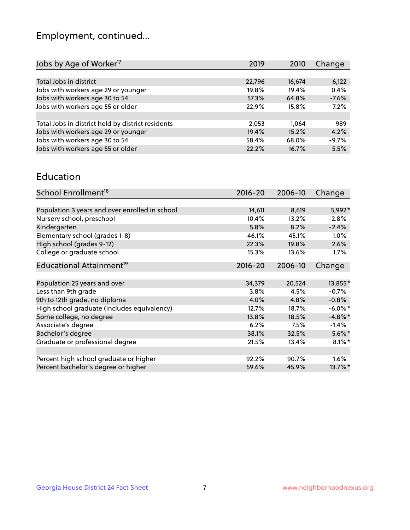## Employment, continued...

| 2019   | 2010   | Change  |
|--------|--------|---------|
|        |        |         |
| 22,796 | 16,674 | 6,122   |
| 19.8%  | 19.4%  | 0.4%    |
| 57.3%  | 64.8%  | $-7.6%$ |
| 22.9%  | 15.8%  | 7.2%    |
|        |        |         |
| 2,053  | 1.064  | 989     |
| 19.4%  | 15.2%  | 4.2%    |
| 58.4%  | 68.0%  | $-9.7%$ |
| 22.2%  | 16.7%  | 5.5%    |
|        |        |         |

#### Education

| School Enrollment <sup>18</sup>                | $2016 - 20$ | 2006-10 | Change     |
|------------------------------------------------|-------------|---------|------------|
|                                                |             |         |            |
| Population 3 years and over enrolled in school | 14,611      | 8,619   | 5,992*     |
| Nursery school, preschool                      | 10.4%       | 13.2%   | $-2.8%$    |
| Kindergarten                                   | 5.8%        | 8.2%    | $-2.4%$    |
| Elementary school (grades 1-8)                 | 46.1%       | 45.1%   | 1.0%       |
| High school (grades 9-12)                      | 22.3%       | 19.8%   | 2.6%       |
| College or graduate school                     | 15.3%       | 13.6%   | 1.7%       |
| Educational Attainment <sup>19</sup>           | $2016 - 20$ | 2006-10 | Change     |
|                                                |             |         |            |
| Population 25 years and over                   | 34,379      | 20,524  | 13,855*    |
| Less than 9th grade                            | 3.8%        | 4.5%    | $-0.7%$    |
| 9th to 12th grade, no diploma                  | 4.0%        | 4.8%    | $-0.8%$    |
| High school graduate (includes equivalency)    | 12.7%       | 18.7%   | $-6.0\%$ * |
| Some college, no degree                        | 13.8%       | 18.5%   | $-4.8\%$ * |
| Associate's degree                             | 6.2%        | 7.5%    | $-1.4%$    |
| Bachelor's degree                              | 38.1%       | 32.5%   | $5.6\%$ *  |
| Graduate or professional degree                | 21.5%       | 13.4%   | $8.1\%$ *  |
|                                                |             |         |            |
| Percent high school graduate or higher         | 92.2%       | 90.7%   | $1.6\%$    |
| Percent bachelor's degree or higher            | 59.6%       | 45.9%   | 13.7%*     |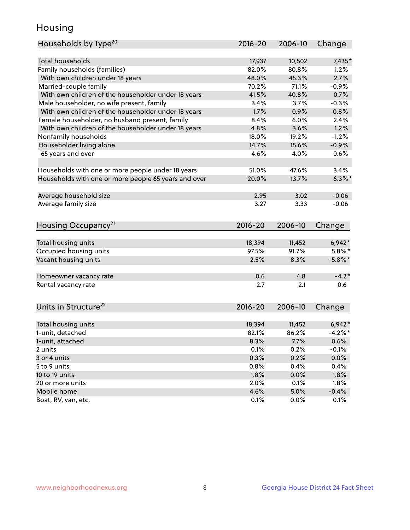## Housing

| Households by Type <sup>20</sup>                     | 2016-20         | 2006-10         | Change                |
|------------------------------------------------------|-----------------|-----------------|-----------------------|
|                                                      |                 |                 |                       |
| <b>Total households</b>                              | 17,937          | 10,502          | 7,435*                |
| Family households (families)                         | 82.0%           | 80.8%           | 1.2%                  |
| With own children under 18 years                     | 48.0%           | 45.3%           | 2.7%                  |
| Married-couple family                                | 70.2%           | 71.1%           | $-0.9%$               |
| With own children of the householder under 18 years  | 41.5%           | 40.8%           | 0.7%                  |
| Male householder, no wife present, family            | 3.4%            | 3.7%            | $-0.3%$               |
| With own children of the householder under 18 years  | 1.7%            | 0.9%            | 0.8%                  |
| Female householder, no husband present, family       | 8.4%            | 6.0%            | 2.4%                  |
| With own children of the householder under 18 years  | 4.8%            | 3.6%            | 1.2%                  |
| Nonfamily households                                 | 18.0%           | 19.2%           | $-1.2%$               |
| Householder living alone                             | 14.7%           | 15.6%           | $-0.9%$               |
| 65 years and over                                    | 4.6%            | 4.0%            | 0.6%                  |
|                                                      |                 |                 |                       |
| Households with one or more people under 18 years    | 51.0%           | 47.6%           | 3.4%                  |
| Households with one or more people 65 years and over | 20.0%           | 13.7%           | $6.3\%$               |
|                                                      |                 |                 |                       |
| Average household size                               | 2.95            | 3.02            | $-0.06$               |
| Average family size                                  | 3.27            | 3.33            | $-0.06$               |
| Housing Occupancy <sup>21</sup>                      | $2016 - 20$     | 2006-10         | Change                |
|                                                      |                 |                 |                       |
| Total housing units                                  | 18,394          | 11,452          | $6,942*$              |
| Occupied housing units                               | 97.5%           | 91.7%           | $5.8\%$ *             |
| Vacant housing units                                 | 2.5%            | 8.3%            | $-5.8\%$ *            |
|                                                      |                 |                 |                       |
| Homeowner vacancy rate                               | 0.6             | 4.8             | $-4.2*$               |
| Rental vacancy rate                                  | 2.7             | 2.1             | 0.6                   |
|                                                      |                 |                 |                       |
| Units in Structure <sup>22</sup>                     | 2016-20         | 2006-10         | Change                |
|                                                      |                 |                 |                       |
| Total housing units<br>1-unit, detached              | 18,394<br>82.1% | 11,452<br>86.2% | $6,942*$<br>$-4.2%$ * |
|                                                      |                 |                 |                       |
| 1-unit, attached                                     | 8.3%            | 7.7%            | 0.6%                  |
| 2 units<br>3 or 4 units                              | 0.1%            | 0.2%            | $-0.1%$               |
|                                                      | 0.3%            | 0.2%            | 0.0%                  |
| 5 to 9 units                                         | 0.8%            | 0.4%            | 0.4%                  |
| 10 to 19 units                                       | 1.8%            | 0.0%            | 1.8%                  |
| 20 or more units                                     | 2.0%            | 0.1%            | 1.8%                  |
| Mobile home                                          | 4.6%            | 5.0%            | $-0.4%$               |
| Boat, RV, van, etc.                                  | 0.1%            | 0.0%            | 0.1%                  |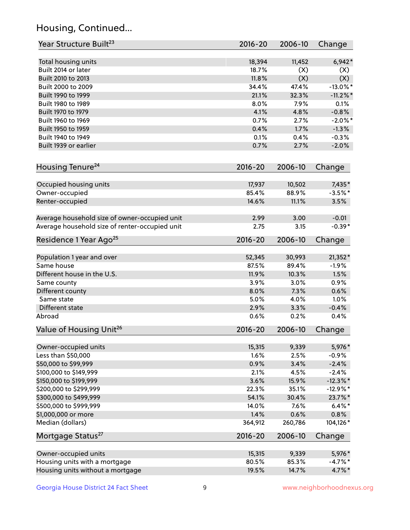## Housing, Continued...

| Year Structure Built <sup>23</sup>             | 2016-20     | 2006-10 | Change      |
|------------------------------------------------|-------------|---------|-------------|
| Total housing units                            | 18,394      | 11,452  | $6,942*$    |
| Built 2014 or later                            | 18.7%       | (X)     | (X)         |
| Built 2010 to 2013                             | 11.8%       | (X)     | (X)         |
| Built 2000 to 2009                             | 34.4%       | 47.4%   | $-13.0\%$ * |
| Built 1990 to 1999                             | 21.1%       | 32.3%   | $-11.2\%$ * |
| Built 1980 to 1989                             | 8.0%        | 7.9%    | 0.1%        |
| Built 1970 to 1979                             | 4.1%        | 4.8%    | $-0.8%$     |
| Built 1960 to 1969                             | 0.7%        | 2.7%    | $-2.0\%$ *  |
| Built 1950 to 1959                             | 0.4%        | 1.7%    | $-1.3%$     |
| Built 1940 to 1949                             | 0.1%        | 0.4%    | $-0.3%$     |
| Built 1939 or earlier                          | 0.7%        | 2.7%    | $-2.0%$     |
| Housing Tenure <sup>24</sup>                   | 2016-20     | 2006-10 | Change      |
| Occupied housing units                         | 17,937      | 10,502  | 7,435*      |
| Owner-occupied                                 | 85.4%       | 88.9%   | $-3.5%$ *   |
| Renter-occupied                                | 14.6%       | 11.1%   | 3.5%        |
| Average household size of owner-occupied unit  | 2.99        | 3.00    | $-0.01$     |
| Average household size of renter-occupied unit | 2.75        | 3.15    | $-0.39*$    |
| Residence 1 Year Ago <sup>25</sup>             | 2016-20     | 2006-10 | Change      |
| Population 1 year and over                     | 52,345      | 30,993  | $21,352*$   |
| Same house                                     | 87.5%       | 89.4%   | $-1.9%$     |
| Different house in the U.S.                    | 11.9%       | 10.3%   | 1.5%        |
| Same county                                    | 3.9%        | 3.0%    | 0.9%        |
| Different county                               | 8.0%        | 7.3%    | 0.6%        |
| Same state                                     | 5.0%        | 4.0%    | 1.0%        |
| Different state                                | 2.9%        | 3.3%    | $-0.4%$     |
| Abroad                                         | 0.6%        | 0.2%    | 0.4%        |
| Value of Housing Unit <sup>26</sup>            | $2016 - 20$ | 2006-10 | Change      |
| Owner-occupied units                           | 15,315      | 9,339   | 5,976*      |
| Less than \$50,000                             | 1.6%        | 2.5%    | $-0.9%$     |
| \$50,000 to \$99,999                           | 0.9%        | 3.4%    | $-2.4%$     |
| \$100,000 to \$149,999                         | 2.1%        | 4.5%    | $-2.4%$     |
| \$150,000 to \$199,999                         | 3.6%        | 15.9%   | $-12.3\%$ * |
| \$200,000 to \$299,999                         | 22.3%       | 35.1%   | $-12.9%$ *  |
| \$300,000 to \$499,999                         | 54.1%       | 30.4%   | 23.7%*      |
| \$500,000 to \$999,999                         | 14.0%       | 7.6%    | $6.4\%$ *   |
| \$1,000,000 or more                            | 1.4%        | 0.6%    | 0.8%        |
| Median (dollars)                               | 364,912     | 260,786 | 104,126*    |
| Mortgage Status <sup>27</sup>                  | $2016 - 20$ | 2006-10 | Change      |
| Owner-occupied units                           | 15,315      | 9,339   | 5,976*      |
| Housing units with a mortgage                  | 80.5%       | 85.3%   | $-4.7\%$ *  |
| Housing units without a mortgage               | 19.5%       | 14.7%   | 4.7%*       |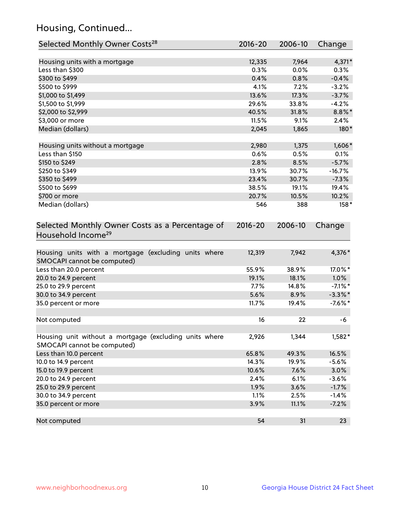## Housing, Continued...

| Selected Monthly Owner Costs <sup>28</sup>                                            | 2016-20     | 2006-10 | Change     |
|---------------------------------------------------------------------------------------|-------------|---------|------------|
| Housing units with a mortgage                                                         | 12,335      | 7,964   | 4,371*     |
| Less than \$300                                                                       | 0.3%        | 0.0%    | 0.3%       |
| \$300 to \$499                                                                        | 0.4%        | 0.8%    | $-0.4%$    |
| \$500 to \$999                                                                        | 4.1%        | 7.2%    | $-3.2%$    |
| \$1,000 to \$1,499                                                                    | 13.6%       | 17.3%   | $-3.7%$    |
| \$1,500 to \$1,999                                                                    | 29.6%       | 33.8%   | $-4.2%$    |
| \$2,000 to \$2,999                                                                    | 40.5%       | 31.8%   | $8.8\%$ *  |
| \$3,000 or more                                                                       | 11.5%       | 9.1%    | 2.4%       |
| Median (dollars)                                                                      | 2,045       | 1,865   | 180*       |
| Housing units without a mortgage                                                      | 2,980       | 1,375   | $1,606*$   |
| Less than \$150                                                                       | 0.6%        | 0.5%    | 0.1%       |
| \$150 to \$249                                                                        | 2.8%        | 8.5%    | $-5.7%$    |
| \$250 to \$349                                                                        | 13.9%       | 30.7%   | $-16.7%$   |
| \$350 to \$499                                                                        | 23.4%       | 30.7%   | $-7.3%$    |
| \$500 to \$699                                                                        | 38.5%       | 19.1%   | 19.4%      |
| \$700 or more                                                                         | 20.7%       | 10.5%   | 10.2%      |
| Median (dollars)                                                                      | 546         | 388     | $158*$     |
| Selected Monthly Owner Costs as a Percentage of<br>Household Income <sup>29</sup>     | $2016 - 20$ | 2006-10 | Change     |
| Housing units with a mortgage (excluding units where<br>SMOCAPI cannot be computed)   | 12,319      | 7,942   | 4,376*     |
| Less than 20.0 percent                                                                | 55.9%       | 38.9%   | 17.0%*     |
| 20.0 to 24.9 percent                                                                  | 19.1%       | 18.1%   | $1.0\%$    |
| 25.0 to 29.9 percent                                                                  | 7.7%        | 14.8%   | $-7.1\%$ * |
| 30.0 to 34.9 percent                                                                  | 5.6%        | 8.9%    | $-3.3\%$ * |
| 35.0 percent or more                                                                  | 11.7%       | 19.4%   | $-7.6%$ *  |
| Not computed                                                                          | 16          | 22      | -6         |
| Housing unit without a mortgage (excluding units where<br>SMOCAPI cannot be computed) | 2,926       | 1,344   | $1,582*$   |
| Less than 10.0 percent                                                                | 65.8%       | 49.3%   | 16.5%      |
| 10.0 to 14.9 percent                                                                  | 14.3%       | 19.9%   | $-5.6%$    |
| 15.0 to 19.9 percent                                                                  | 10.6%       | 7.6%    | 3.0%       |
| 20.0 to 24.9 percent                                                                  | 2.4%        | 6.1%    | $-3.6%$    |
| 25.0 to 29.9 percent                                                                  | 1.9%        | 3.6%    | $-1.7%$    |
| 30.0 to 34.9 percent                                                                  | 1.1%        | 2.5%    | $-1.4%$    |
| 35.0 percent or more                                                                  | 3.9%        | 11.1%   | $-7.2%$    |
| Not computed                                                                          | 54          | 31      | 23         |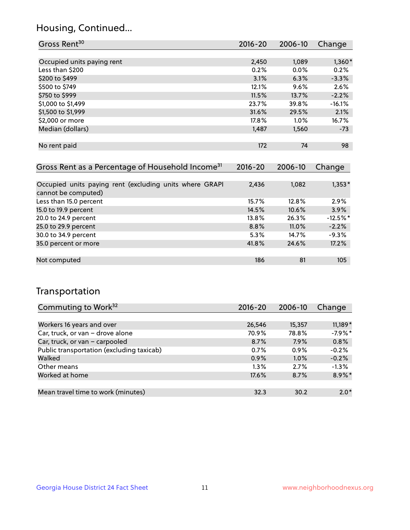## Housing, Continued...

| Gross Rent <sup>30</sup>   | 2016-20 | 2006-10 | Change   |
|----------------------------|---------|---------|----------|
|                            |         |         |          |
| Occupied units paying rent | 2,450   | 1,089   | $1,360*$ |
| Less than \$200            | 0.2%    | $0.0\%$ | 0.2%     |
| \$200 to \$499             | 3.1%    | 6.3%    | $-3.3%$  |
| \$500 to \$749             | 12.1%   | 9.6%    | 2.6%     |
| \$750 to \$999             | 11.5%   | 13.7%   | $-2.2%$  |
| \$1,000 to \$1,499         | 23.7%   | 39.8%   | $-16.1%$ |
| \$1,500 to \$1,999         | 31.6%   | 29.5%   | 2.1%     |
| \$2,000 or more            | 17.8%   | $1.0\%$ | 16.7%    |
| Median (dollars)           | 1,487   | 1,560   | $-73$    |
|                            |         |         |          |
| No rent paid               | 172     | 74      | 98       |
|                            |         |         |          |

| Gross Rent as a Percentage of Household Income <sup>31</sup>                   | $2016 - 20$ | 2006-10 | Change     |
|--------------------------------------------------------------------------------|-------------|---------|------------|
|                                                                                |             |         |            |
| Occupied units paying rent (excluding units where GRAPI<br>cannot be computed) | 2,436       | 1,082   | $1,353*$   |
| Less than 15.0 percent                                                         | 15.7%       | 12.8%   | 2.9%       |
| 15.0 to 19.9 percent                                                           | 14.5%       | 10.6%   | 3.9%       |
| 20.0 to 24.9 percent                                                           | 13.8%       | 26.3%   | $-12.5%$ * |
| 25.0 to 29.9 percent                                                           | 8.8%        | 11.0%   | $-2.2%$    |
| 30.0 to 34.9 percent                                                           | 5.3%        | 14.7%   | $-9.3%$    |
| 35.0 percent or more                                                           | 41.8%       | 24.6%   | 17.2%      |
|                                                                                |             |         |            |
| Not computed                                                                   | 186         | 81      | 105        |

## Transportation

| Commuting to Work <sup>32</sup>           | 2016-20 | 2006-10 | Change    |
|-------------------------------------------|---------|---------|-----------|
|                                           |         |         |           |
| Workers 16 years and over                 | 26,546  | 15,357  | $11,189*$ |
| Car, truck, or van - drove alone          | 70.9%   | 78.8%   | $-7.9%$ * |
| Car, truck, or van - carpooled            | 8.7%    | 7.9%    | 0.8%      |
| Public transportation (excluding taxicab) | 0.7%    | $0.9\%$ | $-0.2%$   |
| Walked                                    | 0.9%    | 1.0%    | $-0.2%$   |
| Other means                               | $1.3\%$ | 2.7%    | $-1.3%$   |
| Worked at home                            | 17.6%   | 8.7%    | 8.9%*     |
|                                           |         |         |           |
| Mean travel time to work (minutes)        | 32.3    | 30.2    | $2.0*$    |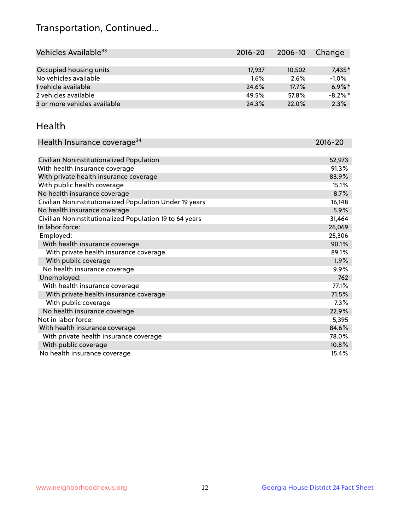## Transportation, Continued...

| Vehicles Available <sup>33</sup> | $2016 - 20$ | $2006 - 10$ | Change     |
|----------------------------------|-------------|-------------|------------|
|                                  |             |             |            |
| Occupied housing units           | 17,937      | 10,502      | $7,435*$   |
| No vehicles available            | $1.6\%$     | 2.6%        | $-1.0%$    |
| 1 vehicle available              | 24.6%       | 17.7%       | $6.9\%$ *  |
| 2 vehicles available             | 49.5%       | 57.8%       | $-8.2\%$ * |
| 3 or more vehicles available     | 24.3%       | 22.0%       | 2.3%       |

#### Health

| Health Insurance coverage <sup>34</sup>                 | 2016-20 |
|---------------------------------------------------------|---------|
|                                                         |         |
| Civilian Noninstitutionalized Population                | 52,973  |
| With health insurance coverage                          | 91.3%   |
| With private health insurance coverage                  | 83.9%   |
| With public health coverage                             | 15.1%   |
| No health insurance coverage                            | 8.7%    |
| Civilian Noninstitutionalized Population Under 19 years | 16,148  |
| No health insurance coverage                            | 5.9%    |
| Civilian Noninstitutionalized Population 19 to 64 years | 31,464  |
| In labor force:                                         | 26,069  |
| Employed:                                               | 25,306  |
| With health insurance coverage                          | 90.1%   |
| With private health insurance coverage                  | 89.1%   |
| With public coverage                                    | 1.9%    |
| No health insurance coverage                            | 9.9%    |
| Unemployed:                                             | 762     |
| With health insurance coverage                          | 77.1%   |
| With private health insurance coverage                  | 71.5%   |
| With public coverage                                    | 7.3%    |
| No health insurance coverage                            | 22.9%   |
| Not in labor force:                                     | 5,395   |
| With health insurance coverage                          | 84.6%   |
| With private health insurance coverage                  | 78.0%   |
| With public coverage                                    | 10.8%   |
| No health insurance coverage                            | 15.4%   |